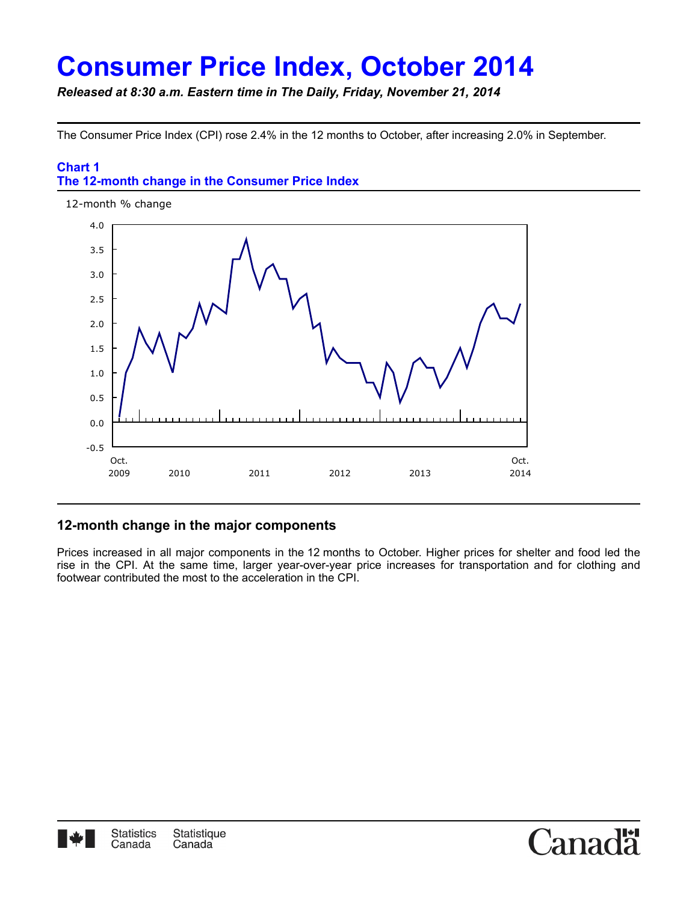# **Consumer Price Index, October 2014**

*Released at 8:30 a.m. Eastern time in The Daily, Friday, November 21, 2014*

The Consumer Price Index (CPI) rose 2.4% in the 12 months to October, after increasing 2.0% in September.

# **Chart 1 The 12-month change in the Consumer Price Index**



# **12-month change in the major components**

Prices increased in all major components in the 12 months to October. Higher prices for shelter and food led the rise in the CPI. At the same time, larger year-over-year price increases for transportation and for clothing and footwear contributed the most to the acceleration in the CPI.

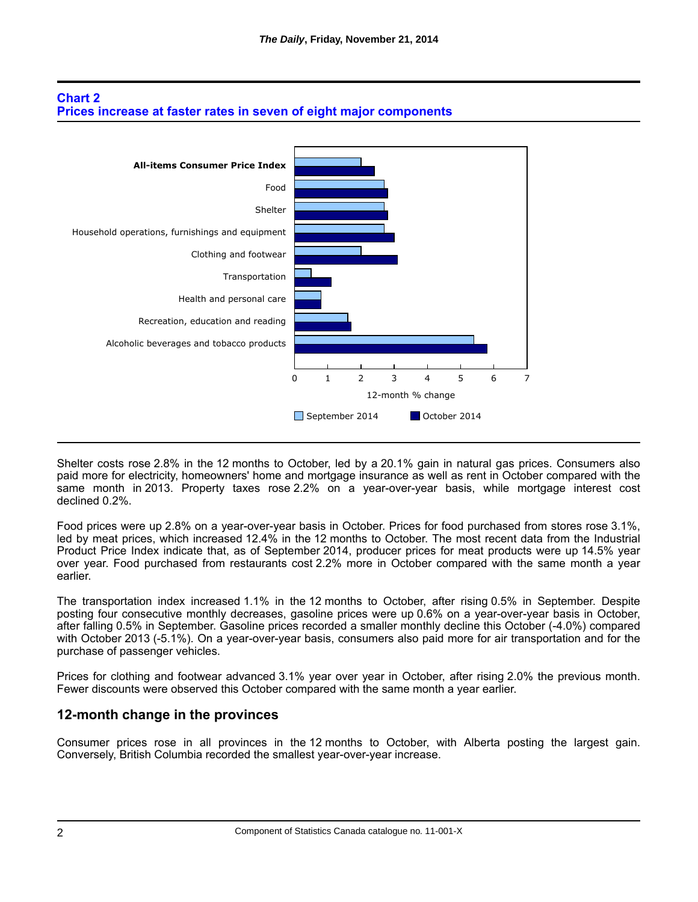



Shelter costs rose 2.8% in the 12 months to October, led by a 20.1% gain in natural gas prices. Consumers also paid more for electricity, homeowners' home and mortgage insurance as well as rent in October compared with the same month in 2013. Property taxes rose 2.2% on a year-over-year basis, while mortgage interest cost declined 0.2%.

Food prices were up 2.8% on a year-over-year basis in October. Prices for food purchased from stores rose 3.1%, led by meat prices, which increased 12.4% in the 12 months to October. The most recent data from the Industrial Product Price Index indicate that, as of September 2014, producer prices for meat products were up 14.5% year over year. Food purchased from restaurants cost 2.2% more in October compared with the same month a year earlier.

The transportation index increased 1.1% in the 12 months to October, after rising 0.5% in September. Despite posting four consecutive monthly decreases, gasoline prices were up 0.6% on a year-over-year basis in October, after falling 0.5% in September. Gasoline prices recorded a smaller monthly decline this October (-4.0%) compared with October 2013 (-5.1%). On a year-over-year basis, consumers also paid more for air transportation and for the purchase of passenger vehicles.

Prices for clothing and footwear advanced 3.1% year over year in October, after rising 2.0% the previous month. Fewer discounts were observed this October compared with the same month a year earlier.

## **12-month change in the provinces**

Consumer prices rose in all provinces in the 12 months to October, with Alberta posting the largest gain. Conversely, British Columbia recorded the smallest year-over-year increase.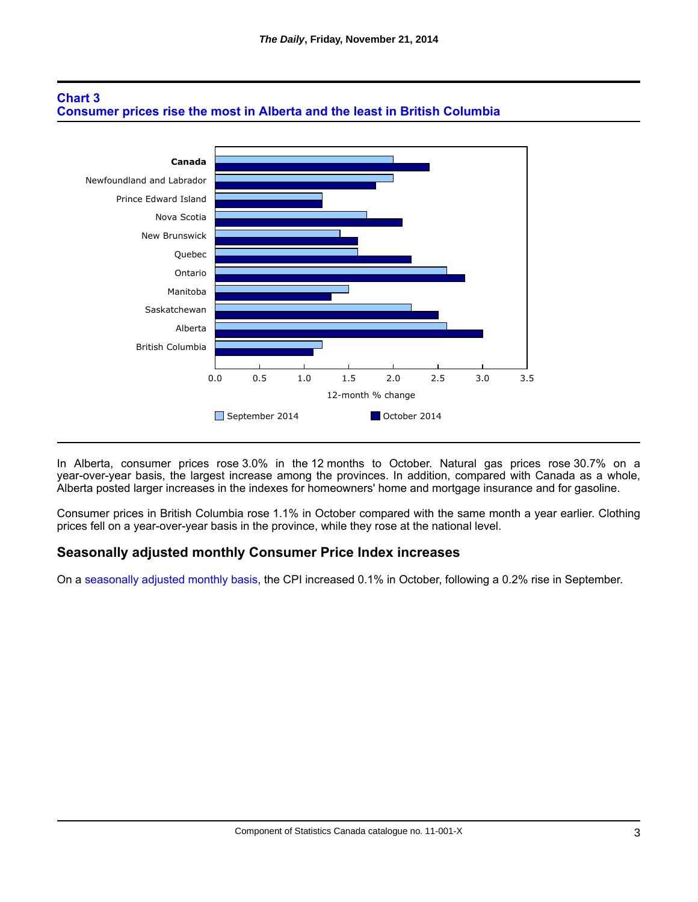



In Alberta, consumer prices rose 3.0% in the 12 months to October. Natural gas prices rose 30.7% on a year-over-year basis, the largest increase among the provinces. In addition, compared with Canada as a whole, Alberta posted larger increases in the indexes for homeowners' home and mortgage insurance and for gasoline.

Consumer prices in British Columbia rose 1.1% in October compared with the same month a year earlier. Clothing prices fell on a year-over-year basis in the province, while they rose at the national level.

#### **Seasonally adjusted monthly Consumer Price Index increases**

On a [seasonally adjusted monthly basis](http://www23.statcan.gc.ca:81/imdb/p2SV.pl?Function=getSurvey&SDDS=2301&lang=en&db=imdb&adm=8&dis=2), the CPI increased 0.1% in October, following a 0.2% rise in September.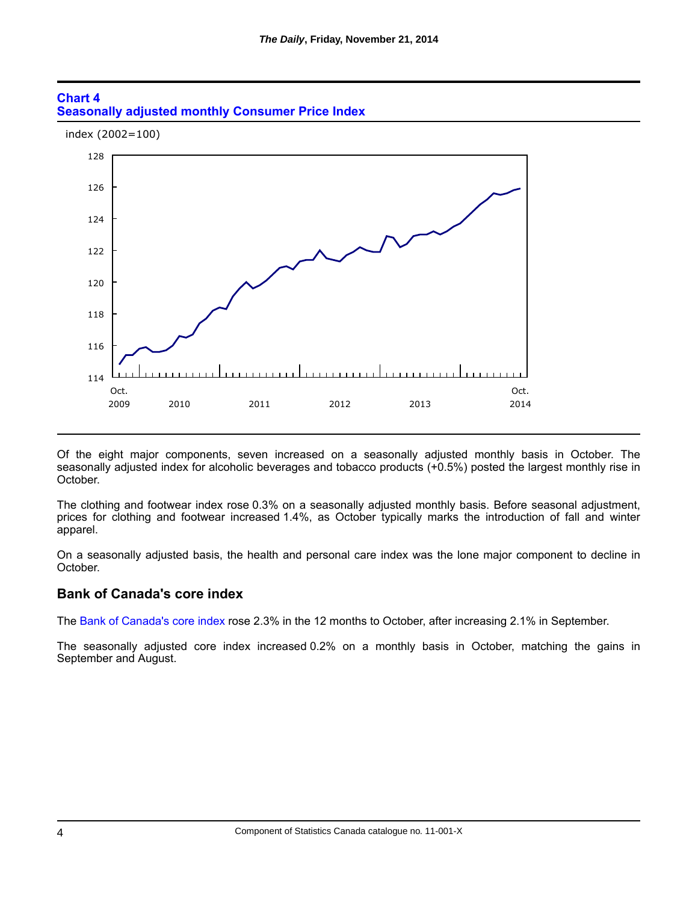



Of the eight major components, seven increased on a seasonally adjusted monthly basis in October. The seasonally adjusted index for alcoholic beverages and tobacco products (+0.5%) posted the largest monthly rise in October.

The clothing and footwear index rose 0.3% on a seasonally adjusted monthly basis. Before seasonal adjustment, prices for clothing and footwear increased 1.4%, as October typically marks the introduction of fall and winter apparel.

On a seasonally adjusted basis, the health and personal care index was the lone major component to decline in October.

#### **Bank of Canada's core index**

The [Bank of Canada's core index](http://www.statcan.gc.ca/pub/62-001-x/2014010/technote-notetech2-eng.htm) rose 2.3% in the 12 months to October, after increasing 2.1% in September.

The seasonally adjusted core index increased 0.2% on a monthly basis in October, matching the gains in September and August.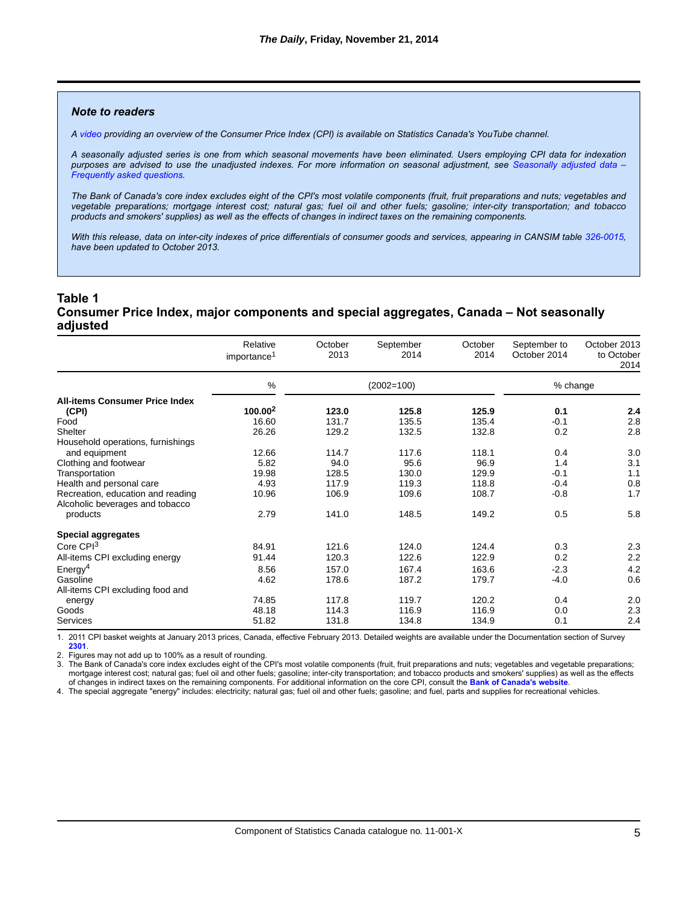#### *Note to readers*

*A [video](https://www.youtube.com/watch?v=qfKmJe3CK6E) providing an overview of the Consumer Price Index (CPI) is available on Statistics Canada's YouTube channel.*

*A seasonally adjusted series is one from which seasonal movements have been eliminated. Users employing CPI data for indexation [purposes are advised to use the unadjusted indexes. For more information on seasonal adjustment, see](http://www.statcan.gc.ca/dai-quo/btd-add/btd-add-eng.htm) Seasonally adjusted data – Frequently asked questions.*

*The Bank of Canada's core index excludes eight of the CPI's most volatile components (fruit, fruit preparations and nuts; vegetables and vegetable preparations; mortgage interest cost; natural gas; fuel oil and other fuels; gasoline; inter-city transportation; and tobacco products and smokers' supplies) as well as the effects of changes in indirect taxes on the remaining components.*

*With this release, data on inter-city indexes of price differentials of consumer goods and services, appearing in CANSIM table [326-0015](http://www5.statcan.gc.ca/cansim/a26?id=3260015&pattern=&p2=50&p1=1&tabMode=dataTable&stByVal=1&paSer=&csid=&retrLang=eng&lang=eng), have been updated to October 2013.*

#### **Table 1 Consumer Price Index, major components and special aggregates, Canada – Not seasonally adjusted**

|                                                                      | Relative<br>importance <sup>1</sup> | October<br>2013 | September<br>2014 | October<br>2014 | September to<br>October 2014 | October 2013<br>to October<br>2014 |
|----------------------------------------------------------------------|-------------------------------------|-----------------|-------------------|-----------------|------------------------------|------------------------------------|
|                                                                      | %                                   |                 | $(2002=100)$      |                 | % change                     |                                    |
| <b>All-items Consumer Price Index</b>                                |                                     |                 |                   |                 |                              |                                    |
| (CPI)                                                                | $100.00^2$                          | 123.0           | 125.8             | 125.9           | 0.1                          | 2.4                                |
| Food                                                                 | 16.60                               | 131.7           | 135.5             | 135.4           | $-0.1$                       | 2.8                                |
| Shelter                                                              | 26.26                               | 129.2           | 132.5             | 132.8           | 0.2                          | 2.8                                |
| Household operations, furnishings                                    |                                     |                 |                   |                 |                              |                                    |
| and equipment                                                        | 12.66                               | 114.7           | 117.6             | 118.1           | 0.4                          | 3.0                                |
| Clothing and footwear                                                | 5.82                                | 94.0            | 95.6              | 96.9            | 1.4                          | 3.1                                |
| Transportation                                                       | 19.98                               | 128.5           | 130.0             | 129.9           | $-0.1$                       | 1.1                                |
| Health and personal care                                             | 4.93                                | 117.9           | 119.3             | 118.8           | $-0.4$                       | 0.8                                |
| Recreation, education and reading<br>Alcoholic beverages and tobacco | 10.96                               | 106.9           | 109.6             | 108.7           | $-0.8$                       | 1.7                                |
| products                                                             | 2.79                                | 141.0           | 148.5             | 149.2           | 0.5                          | 5.8                                |
| <b>Special aggregates</b>                                            |                                     |                 |                   |                 |                              |                                    |
| Core $CPI3$                                                          | 84.91                               | 121.6           | 124.0             | 124.4           | 0.3                          | 2.3                                |
| All-items CPI excluding energy                                       | 91.44                               | 120.3           | 122.6             | 122.9           | 0.2                          | 2.2                                |
| Energy <sup>4</sup>                                                  | 8.56                                | 157.0           | 167.4             | 163.6           | $-2.3$                       | 4.2                                |
| Gasoline                                                             | 4.62                                | 178.6           | 187.2             | 179.7           | $-4.0$                       | 0.6                                |
| All-items CPI excluding food and                                     |                                     |                 |                   |                 |                              |                                    |
| energy                                                               | 74.85                               | 117.8           | 119.7             | 120.2           | 0.4                          | 2.0                                |
| Goods                                                                | 48.18                               | 114.3           | 116.9             | 116.9           | 0.0                          | 2.3                                |
| Services                                                             | 51.82                               | 131.8           | 134.8             | 134.9           | 0.1                          | 2.4                                |

1. 2011 CPI basket weights at January 2013 prices, Canada, effective February 2013. Detailed weights are available under the Documentation section of Survey **[2301](http://www.statcan.gc.ca/imdb-bmdi/2301-eng.htm)**.

2. Figures may not add up to 100% as a result of rounding.

3. The Bank of Canada's core index excludes eight of the CPI's most volatile components (fruit, fruit preparations and nuts; vegetables and vegetable preparations; mortgage interest cost; natural gas; fuel oil and other fuels; gasoline; inter-city transportation; and tobacco products and smokers' supplies) as well as the effects of changes in indirect taxes on the remaining components. For additional information on the core CPI, consult the **[Bank of Canada's website](http://www.bankofcanada.ca/rates/indicators/key-variables/inflation-control-target/)**.

4. The special aggregate "energy" includes: electricity; natural gas; fuel oil and other fuels; gasoline; and fuel, parts and supplies for recreational vehicles.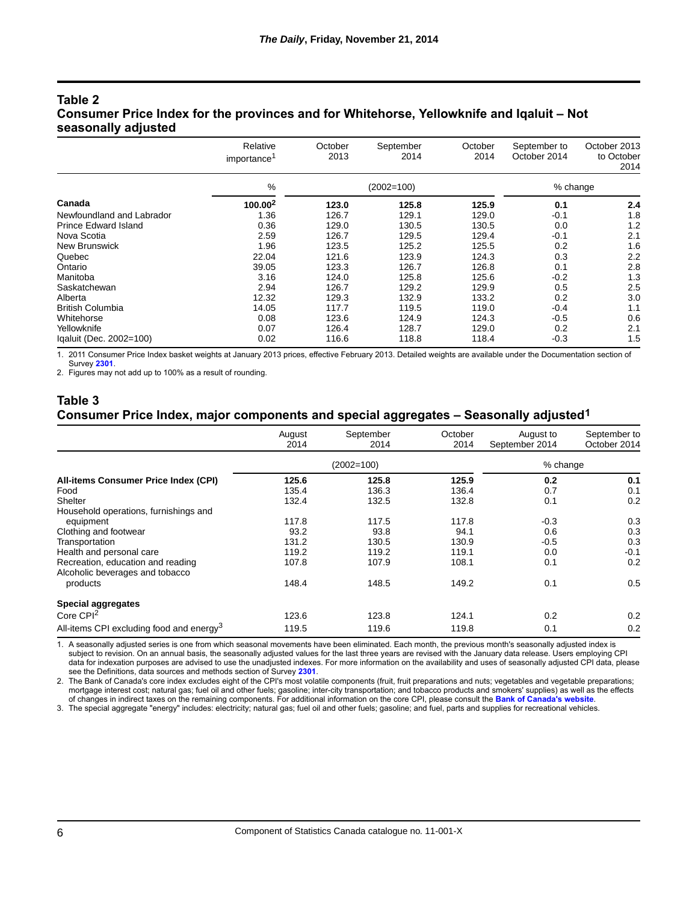### **Table 2 Consumer Price Index for the provinces and for Whitehorse, Yellowknife and Iqaluit – Not seasonally adjusted**

|                             | Relative<br>importance <sup>1</sup> | October<br>2013 | September<br>2014 | October<br>2014 | September to<br>October 2014 | October 2013<br>to October<br>2014 |
|-----------------------------|-------------------------------------|-----------------|-------------------|-----------------|------------------------------|------------------------------------|
|                             | %                                   | $(2002=100)$    |                   |                 | % change                     |                                    |
| Canada                      | $100.00^2$                          | 123.0           | 125.8             | 125.9           | 0.1                          | 2.4                                |
| Newfoundland and Labrador   | 1.36                                | 126.7           | 129.1             | 129.0           | $-0.1$                       | 1.8                                |
| <b>Prince Edward Island</b> | 0.36                                | 129.0           | 130.5             | 130.5           | 0.0                          | 1.2                                |
| Nova Scotia                 | 2.59                                | 126.7           | 129.5             | 129.4           | $-0.1$                       | 2.1                                |
| New Brunswick               | 1.96                                | 123.5           | 125.2             | 125.5           | 0.2                          | 1.6                                |
| Quebec                      | 22.04                               | 121.6           | 123.9             | 124.3           | 0.3                          | 2.2                                |
| Ontario                     | 39.05                               | 123.3           | 126.7             | 126.8           | 0.1                          | 2.8                                |
| Manitoba                    | 3.16                                | 124.0           | 125.8             | 125.6           | $-0.2$                       | 1.3                                |
| Saskatchewan                | 2.94                                | 126.7           | 129.2             | 129.9           | 0.5                          | 2.5                                |
| Alberta                     | 12.32                               | 129.3           | 132.9             | 133.2           | 0.2                          | 3.0                                |
| <b>British Columbia</b>     | 14.05                               | 117.7           | 119.5             | 119.0           | $-0.4$                       | 1.1                                |
| Whitehorse                  | 0.08                                | 123.6           | 124.9             | 124.3           | $-0.5$                       | 0.6                                |
| Yellowknife                 | 0.07                                | 126.4           | 128.7             | 129.0           | 0.2                          | 2.1                                |
| Igaluit (Dec. 2002=100)     | 0.02                                | 116.6           | 118.8             | 118.4           | $-0.3$                       | 1.5                                |

1. 2011 Consumer Price Index basket weights at January 2013 prices, effective February 2013. Detailed weights are available under the Documentation section of Survey **[2301](http://www.statcan.gc.ca/imdb-bmdi/2301-eng.htm)**.

2. Figures may not add up to 100% as a result of rounding.

#### **Table 3 Consumer Price Index, major components and special aggregates – Seasonally adjusted1**

|                                                      | August<br>2014 | September<br>2014 | October<br>2014 | August to<br>September 2014 | September to<br>October 2014 |
|------------------------------------------------------|----------------|-------------------|-----------------|-----------------------------|------------------------------|
|                                                      | $(2002=100)$   |                   |                 | % change                    |                              |
| All-items Consumer Price Index (CPI)                 | 125.6          | 125.8             | 125.9           | 0.2                         | 0.1                          |
| Food                                                 | 135.4          | 136.3             | 136.4           | 0.7                         | 0.1                          |
| Shelter                                              | 132.4          | 132.5             | 132.8           | 0.1                         | 0.2                          |
| Household operations, furnishings and                |                |                   |                 |                             |                              |
| equipment                                            | 117.8          | 117.5             | 117.8           | $-0.3$                      | 0.3                          |
| Clothing and footwear                                | 93.2           | 93.8              | 94.1            | 0.6                         | 0.3                          |
| Transportation                                       | 131.2          | 130.5             | 130.9           | $-0.5$                      | 0.3                          |
| Health and personal care                             | 119.2          | 119.2             | 119.1           | 0.0                         | $-0.1$                       |
| Recreation, education and reading                    | 107.8          | 107.9             | 108.1           | 0.1                         | 0.2                          |
| Alcoholic beverages and tobacco                      |                |                   |                 |                             |                              |
| products                                             | 148.4          | 148.5             | 149.2           | 0.1                         | 0.5                          |
| <b>Special aggregates</b>                            |                |                   |                 |                             |                              |
| Core $CPI2$                                          | 123.6          | 123.8             | 124.1           | 0.2                         | 0.2                          |
| All-items CPI excluding food and energy <sup>3</sup> | 119.5          | 119.6             | 119.8           | 0.1                         | 0.2                          |

1. A seasonally adjusted series is one from which seasonal movements have been eliminated. Each month, the previous month's seasonally adjusted index is subject to revision. On an annual basis, the seasonally adjusted values for the last three years are revised with the January data release. Users employing CPI data for indexation purposes are advised to use the unadjusted indexes. For more information on the availability and uses of seasonally adjusted CPI data, please see the Definitions, data sources and methods section of Survey **[2301](http://www.statcan.gc.ca/imdb-bmdi/2301-eng.htm)**.

2. The Bank of Canada's core index excludes eight of the CPI's most volatile components (fruit, fruit preparations and nuts; vegetables and vegetable preparations; mortgage interest cost; natural gas; fuel oil and other fuels; gasoline; inter-city transportation; and tobacco products and smokers' supplies) as well as the effects of changes in indirect taxes on the remaining components. For additional information on the core CPI, please consult the **[Bank of Canada's website](http://www.bankofcanada.ca/rates/indicators/key-variables/inflation-control-target/)**.

3. The special aggregate "energy" includes: electricity; natural gas; fuel oil and other fuels; gasoline; and fuel, parts and supplies for recreational vehicles.